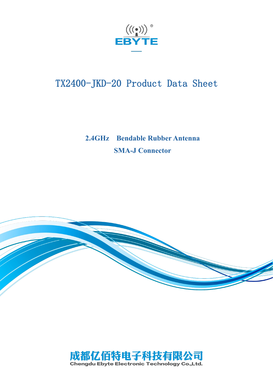

# TX2400-JKD-20 Product Data Sheet

## **2.4GHz Bendable Rubber Antenna SMA-J Connector**



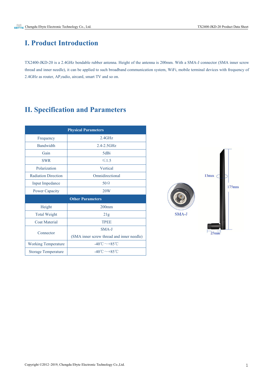#### **I. Product Introduction**

TX2400-JKD-20 is a 2.4GHz bendable rubber antenna. Height of the antenna is 200mm. With a SMA-J connector (SMA inner screw thread and inner needle), it can be applied to such broadband communication system, WiFi, mobile terminal devices with frequency of 2.4GHz as router, AP,radio, aircard, smart TV and so on.

### **II. Specification and Parameters**

|                            | <b>Physical Parameters</b>                |
|----------------------------|-------------------------------------------|
| Frequency                  | $2.4$ GHz                                 |
| <b>Bandwidth</b>           | 2.4-2.5GHz                                |
| Gain                       | 5dBi                                      |
| <b>SWR</b>                 | $\leq 1.5$                                |
| Polarization               | Vertical                                  |
| <b>Radiation Direction</b> | Omnidirectional                           |
| <b>Input Impedance</b>     | $50\,\Omega$                              |
| <b>Power Capacity</b>      | 20W                                       |
| <b>Other Parameters</b>    |                                           |
| Height                     | $200$ mm                                  |
| <b>Total Weight</b>        | 21g                                       |
| <b>Coat Material</b>       | <b>TPEE</b>                               |
| Connector                  | SMA-J                                     |
|                            | (SMA inner screw thread and inner needle) |
| <b>Working Temperature</b> | -40°C $\sim$ +85°C                        |
| <b>Storage Temperature</b> | $-40^{\circ}$ C $\sim$ +85 °C             |

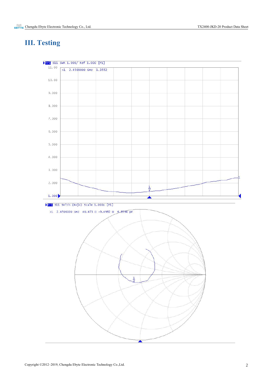## **III. Testing**